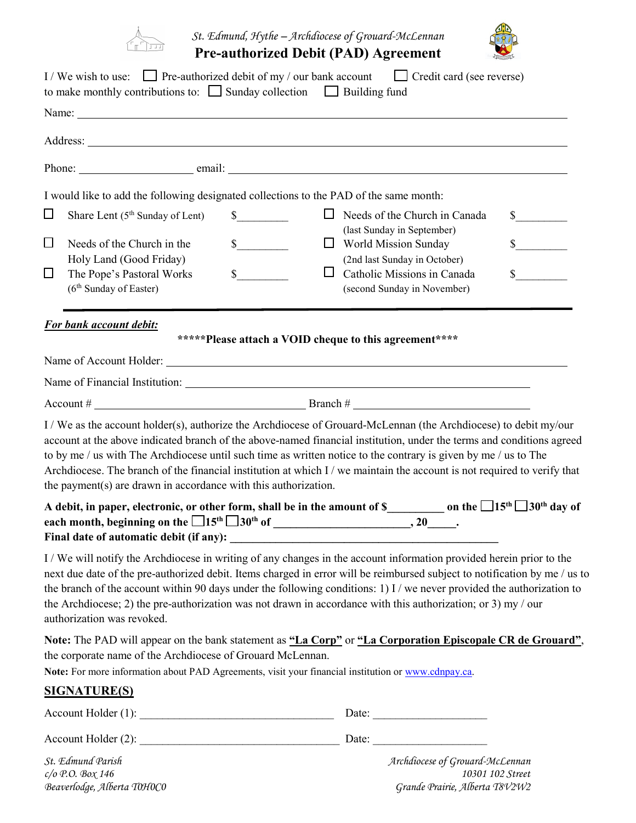

*St. Edmund, Hythe – Archdiocese of Grouard-McLennan* **Pre-authorized Debit (PAD) Agreement** 



|                            | I/We wish to use: Pre-authorized debit of my / our bank account Credit card (see reverse)<br>to make monthly contributions to: $\Box$ Sunday collection $\Box$ Building fund                                                                                                                                                                                                                                                                                                                                                                                |                                                        |                                                                                                                                                                                          |                                 |                                  |
|----------------------------|-------------------------------------------------------------------------------------------------------------------------------------------------------------------------------------------------------------------------------------------------------------------------------------------------------------------------------------------------------------------------------------------------------------------------------------------------------------------------------------------------------------------------------------------------------------|--------------------------------------------------------|------------------------------------------------------------------------------------------------------------------------------------------------------------------------------------------|---------------------------------|----------------------------------|
|                            |                                                                                                                                                                                                                                                                                                                                                                                                                                                                                                                                                             |                                                        |                                                                                                                                                                                          |                                 |                                  |
|                            |                                                                                                                                                                                                                                                                                                                                                                                                                                                                                                                                                             |                                                        |                                                                                                                                                                                          |                                 |                                  |
|                            |                                                                                                                                                                                                                                                                                                                                                                                                                                                                                                                                                             |                                                        |                                                                                                                                                                                          |                                 |                                  |
|                            | I would like to add the following designated collections to the PAD of the same month:                                                                                                                                                                                                                                                                                                                                                                                                                                                                      |                                                        |                                                                                                                                                                                          |                                 |                                  |
| $\Box$<br>$\Box$<br>$\Box$ | Share Lent $(5th$ Sunday of Lent)<br>Needs of the Church in the<br>Holy Land (Good Friday)<br>The Pope's Pastoral Works<br>(6 <sup>th</sup> Sunday of Easter)                                                                                                                                                                                                                                                                                                                                                                                               | $\mathbb{S}$<br>s<br>$\frac{1}{2}$<br>ப                | $\Box$ Needs of the Church in Canada<br>(last Sunday in September)<br>World Mission Sunday<br>(2nd last Sunday in October)<br>Catholic Missions in Canada<br>(second Sunday in November) |                                 | $\sim$<br>$\sim$<br>$\mathbb{S}$ |
|                            | For bank account debit:                                                                                                                                                                                                                                                                                                                                                                                                                                                                                                                                     | *****Please attach a VOID cheque to this agreement**** |                                                                                                                                                                                          |                                 |                                  |
|                            |                                                                                                                                                                                                                                                                                                                                                                                                                                                                                                                                                             |                                                        |                                                                                                                                                                                          |                                 |                                  |
|                            |                                                                                                                                                                                                                                                                                                                                                                                                                                                                                                                                                             |                                                        |                                                                                                                                                                                          |                                 |                                  |
|                            | I / We as the account holder(s), authorize the Archdiocese of Grouard-McLennan (the Archdiocese) to debit my/our<br>account at the above indicated branch of the above-named financial institution, under the terms and conditions agreed<br>to by me / us with The Archdiocese until such time as written notice to the contrary is given by me / us to The<br>Archdiocese. The branch of the financial institution at which I / we maintain the account is not required to verify that<br>the payment(s) are drawn in accordance with this authorization. |                                                        |                                                                                                                                                                                          |                                 |                                  |
|                            | A debit, in paper, electronic, or other form, shall be in the amount of \$_________________ on the $\Box$ 15 <sup>th</sup> $\Box$ 30 <sup>th</sup> day of                                                                                                                                                                                                                                                                                                                                                                                                   |                                                        |                                                                                                                                                                                          |                                 |                                  |
|                            | I/We will notify the Archdiocese in writing of any changes in the account information provided herein prior to the<br>next due date of the pre-authorized debit. Items charged in error will be reimbursed subject to notification by me / us to<br>the branch of the account within 90 days under the following conditions: 1) I / we never provided the authorization to<br>the Archdiocese; 2) the pre-authorization was not drawn in accordance with this authorization; or 3) my / our<br>authorization was revoked.                                   |                                                        |                                                                                                                                                                                          |                                 |                                  |
|                            | Note: The PAD will appear on the bank statement as "La Corp" or "La Corporation Episcopale CR de Grouard",<br>the corporate name of the Archdiocese of Grouard McLennan.<br>Note: For more information about PAD Agreements, visit your financial institution or www.cdnpay.ca.                                                                                                                                                                                                                                                                             |                                                        |                                                                                                                                                                                          |                                 |                                  |
|                            | <b>SIGNATURE(S)</b>                                                                                                                                                                                                                                                                                                                                                                                                                                                                                                                                         |                                                        |                                                                                                                                                                                          |                                 |                                  |
|                            |                                                                                                                                                                                                                                                                                                                                                                                                                                                                                                                                                             |                                                        |                                                                                                                                                                                          |                                 |                                  |
|                            |                                                                                                                                                                                                                                                                                                                                                                                                                                                                                                                                                             |                                                        |                                                                                                                                                                                          |                                 |                                  |
|                            | St. Edmund Parish                                                                                                                                                                                                                                                                                                                                                                                                                                                                                                                                           |                                                        |                                                                                                                                                                                          | Archdiocese of Grouard-McLennan |                                  |

*c/o P.O. Box 146 10301 102 Street Beaverlodge, Alberta T0H0C0 Grande Prairie, Alberta T8V2W2*